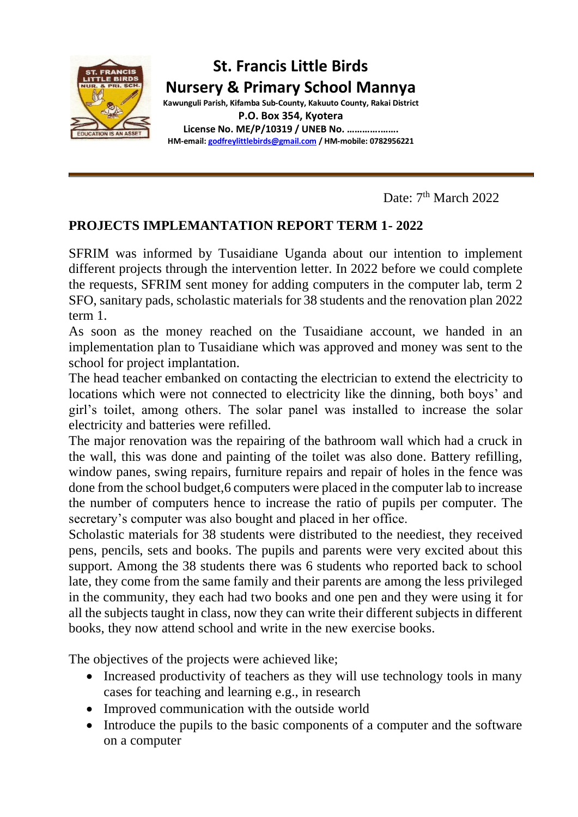

Date:  $7<sup>th</sup> March 2022$ 

### **PROJECTS IMPLEMANTATION REPORT TERM 1- 2022**

SFRIM was informed by Tusaidiane Uganda about our intention to implement different projects through the intervention letter. In 2022 before we could complete the requests, SFRIM sent money for adding computers in the computer lab, term 2 SFO, sanitary pads, scholastic materials for 38 students and the renovation plan 2022 term 1.

As soon as the money reached on the Tusaidiane account, we handed in an implementation plan to Tusaidiane which was approved and money was sent to the school for project implantation.

The head teacher embanked on contacting the electrician to extend the electricity to locations which were not connected to electricity like the dinning, both boys' and girl's toilet, among others. The solar panel was installed to increase the solar electricity and batteries were refilled.

The major renovation was the repairing of the bathroom wall which had a cruck in the wall, this was done and painting of the toilet was also done. Battery refilling, window panes, swing repairs, furniture repairs and repair of holes in the fence was done from the school budget,6 computers were placed in the computer lab to increase the number of computers hence to increase the ratio of pupils per computer. The secretary's computer was also bought and placed in her office.

Scholastic materials for 38 students were distributed to the neediest, they received pens, pencils, sets and books. The pupils and parents were very excited about this support. Among the 38 students there was 6 students who reported back to school late, they come from the same family and their parents are among the less privileged in the community, they each had two books and one pen and they were using it for all the subjects taught in class, now they can write their different subjects in different books, they now attend school and write in the new exercise books.

The objectives of the projects were achieved like;

- Increased productivity of teachers as they will use technology tools in many cases for teaching and learning e.g., in research
- Improved communication with the outside world
- Introduce the pupils to the basic components of a computer and the software on a computer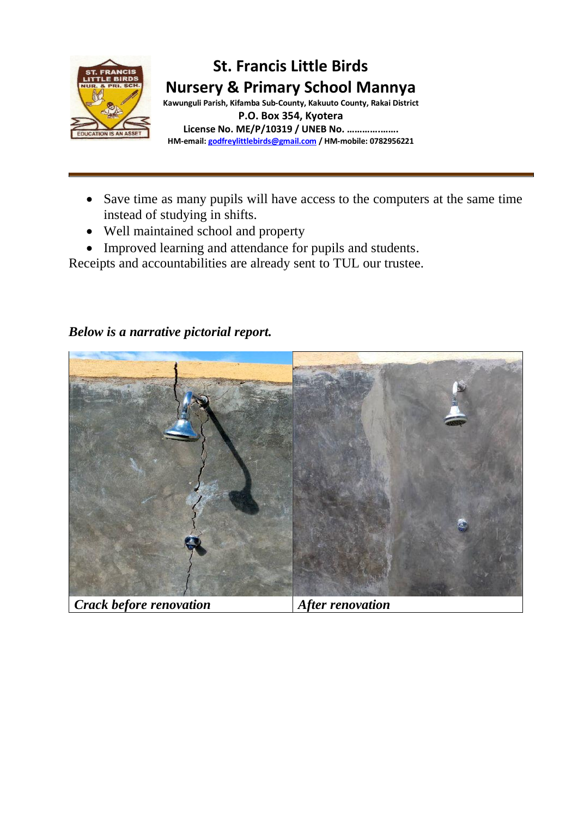

- Save time as many pupils will have access to the computers at the same time instead of studying in shifts.
- Well maintained school and property
- Improved learning and attendance for pupils and students.

Receipts and accountabilities are already sent to TUL our trustee.

# *Crack before renovation After renovation*

### *Below is a narrative pictorial report.*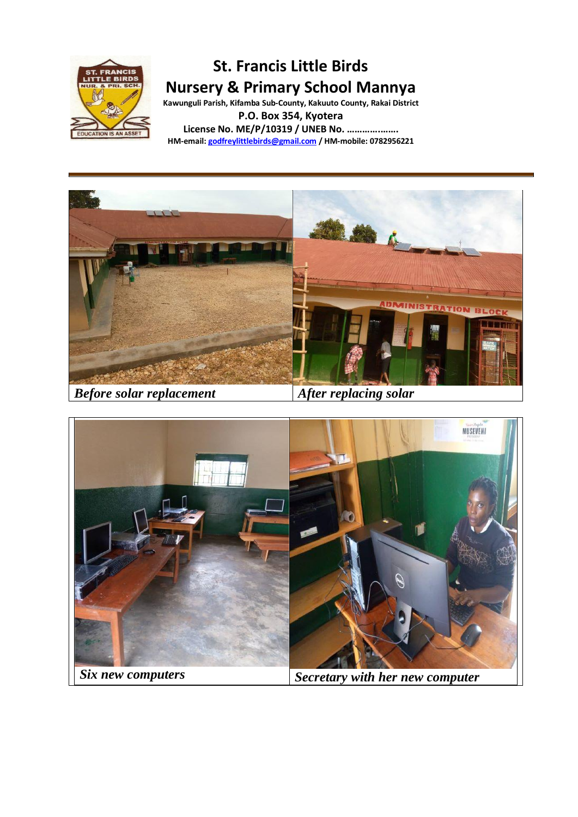

## **St. Francis Little Birds Nursery & Primary School Mannya**

**Kawunguli Parish, Kifamba Sub-County, Kakuuto County, Rakai District P.O. Box 354, Kyotera**

**License No. ME/P/10319 / UNEB No. ………….……. HM-email[: godfreylittlebirds@gmail.com](mailto:godfreylittlebirds@gmail.com) / HM-mobile: 0782956221**